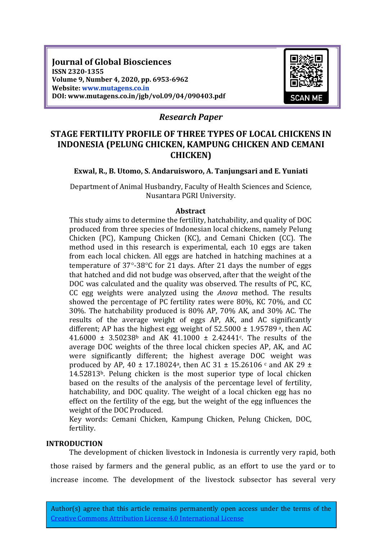**Journal of Global Biosciences ISSN 2320-1355 Volume 9, Number 4, 2020, pp. 6953-6962 Website: www.mutagens.co.in DOI: www.mutagens.co.in/jgb/vol.09/04/090403.pdf**



# *Research Paper*

# **STAGE FERTILITY PROFILE OF THREE TYPES OF LOCAL CHICKENS IN INDONESIA (PELUNG CHICKEN, KAMPUNG CHICKEN AND CEMANI CHICKEN)**

### **Exwal, R., B. Utomo, S. Andaruisworo, A. Tanjungsari and E. Yuniati**

Department of Animal Husbandry, Faculty of Health Sciences and Science, Nusantara PGRI University.

#### **Abstract**

This study aims to determine the fertility, hatchability, and quality of DOC produced from three species of Indonesian local chickens, namely Pelung Chicken (PC), Kampung Chicken (KC), and Cemani Chicken (CC). The method used in this research is experimental, each 10 eggs are taken from each local chicken. All eggs are hatched in hatching machines at a temperature of  $37^{\circ}$ -38 $^{\circ}$ C for 21 days. After 21 days the number of eggs that hatched and did not budge was observed, after that the weight of the DOC was calculated and the quality was observed. The results of PC, KC, CC egg weights were analyzed using the *Anova* method. The results showed the percentage of PC fertility rates were 80%, KC 70%, and CC 30%. The hatchability produced is 80% AP, 70% AK, and 30% AC. The results of the average weight of eggs AP, AK, and AC significantly different; AP has the highest egg weight of  $52.5000 \pm 1.95789$ <sup>a</sup>, then AC 41.6000  $\pm$  3.50238<sup>b</sup> and AK 41.1000  $\pm$  2.42441<sup>c</sup>. The results of the average DOC weights of the three local chicken species AP, AK, and AC were significantly different; the highest average DOC weight was produced by AP, 40  $\pm$  17.18024<sup>a</sup>, then AC 31  $\pm$  15.26106  $\circ$  and AK 29  $\pm$ 14.52813b. Pelung chicken is the most superior type of local chicken based on the results of the analysis of the percentage level of fertility, hatchability, and DOC quality. The weight of a local chicken egg has no effect on the fertility of the egg, but the weight of the egg influences the weight of the DOC Produced.

Key words: Cemani Chicken, Kampung Chicken, Pelung Chicken, DOC, fertility.

#### **INTRODUCTION**

The development of chicken livestock in Indonesia is currently very rapid, both those raised by farmers and the general public, as an effort to use the yard or to increase income. The development of the livestock subsector has several very

Author(s) agree that this article remains permanently open access under the terms of the [Creative Commons Attribution License 4.0 International License](https://creativecommons.org/licenses/by/4.0/)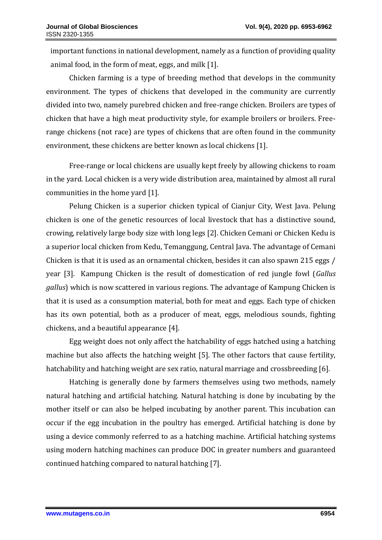important functions in national development, namely as a function of providing quality animal food, in the form of meat, eggs, and milk [1].

Chicken farming is a type of breeding method that develops in the community environment. The types of chickens that developed in the community are currently divided into two, namely purebred chicken and free-range chicken. Broilers are types of chicken that have a high meat productivity style, for example broilers or broilers. Freerange chickens (not race) are types of chickens that are often found in the community environment, these chickens are better known as local chickens [1].

Free-range or local chickens are usually kept freely by allowing chickens to roam in the yard. Local chicken is a very wide distribution area, maintained by almost all rural communities in the home yard [1].

Pelung Chicken is a superior chicken typical of Cianjur City, West Java. Pelung chicken is one of the genetic resources of local livestock that has a distinctive sound, crowing, relatively large body size with long legs [2]. Chicken Cemani or Chicken Kedu is a superior local chicken from Kedu, Temanggung, Central Java. The advantage of Cemani Chicken is that it is used as an ornamental chicken, besides it can also spawn 215 eggs / year [3]. Kampung Chicken is the result of domestication of red jungle fowl (*Gallus gallus*) which is now scattered in various regions. The advantage of Kampung Chicken is that it is used as a consumption material, both for meat and eggs. Each type of chicken has its own potential, both as a producer of meat, eggs, melodious sounds, fighting chickens, and a beautiful appearance [4].

Egg weight does not only affect the hatchability of eggs hatched using a hatching machine but also affects the hatching weight [5]. The other factors that cause fertility, hatchability and hatching weight are sex ratio, natural marriage and crossbreeding [6].

Hatching is generally done by farmers themselves using two methods, namely natural hatching and artificial hatching. Natural hatching is done by incubating by the mother itself or can also be helped incubating by another parent. This incubation can occur if the egg incubation in the poultry has emerged. Artificial hatching is done by using a device commonly referred to as a hatching machine. Artificial hatching systems using modern hatching machines can produce DOC in greater numbers and guaranteed continued hatching compared to natural hatching [7].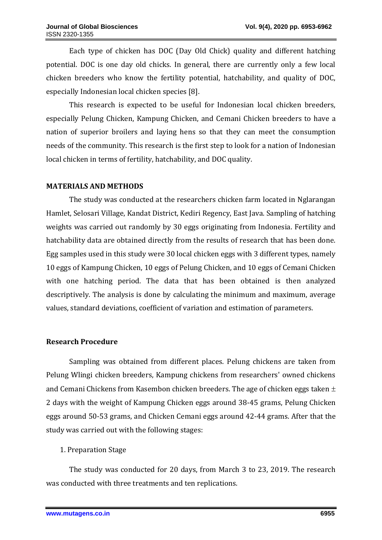Each type of chicken has DOC (Day Old Chick) quality and different hatching potential. DOC is one day old chicks. In general, there are currently only a few local chicken breeders who know the fertility potential, hatchability, and quality of DOC, especially Indonesian local chicken species [8].

This research is expected to be useful for Indonesian local chicken breeders, especially Pelung Chicken, Kampung Chicken, and Cemani Chicken breeders to have a nation of superior broilers and laying hens so that they can meet the consumption needs of the community. This research is the first step to look for a nation of Indonesian local chicken in terms of fertility, hatchability, and DOC quality.

### **MATERIALS AND METHODS**

The study was conducted at the researchers chicken farm located in Nglarangan Hamlet, Selosari Village, Kandat District, Kediri Regency, East Java. Sampling of hatching weights was carried out randomly by 30 eggs originating from Indonesia. Fertility and hatchability data are obtained directly from the results of research that has been done. Egg samples used in this study were 30 local chicken eggs with 3 different types, namely 10 eggs of Kampung Chicken, 10 eggs of Pelung Chicken, and 10 eggs of Cemani Chicken with one hatching period. The data that has been obtained is then analyzed descriptively. The analysis is done by calculating the minimum and maximum, average values, standard deviations, coefficient of variation and estimation of parameters.

#### **Research Procedure**

Sampling was obtained from different places. Pelung chickens are taken from Pelung Wlingi chicken breeders, Kampung chickens from researchers' owned chickens and Cemani Chickens from Kasembon chicken breeders. The age of chicken eggs taken  $\pm$ 2 days with the weight of Kampung Chicken eggs around 38-45 grams, Pelung Chicken eggs around 50-53 grams, and Chicken Cemani eggs around 42-44 grams. After that the study was carried out with the following stages:

### 1. Preparation Stage

The study was conducted for 20 days, from March 3 to 23, 2019. The research was conducted with three treatments and ten replications.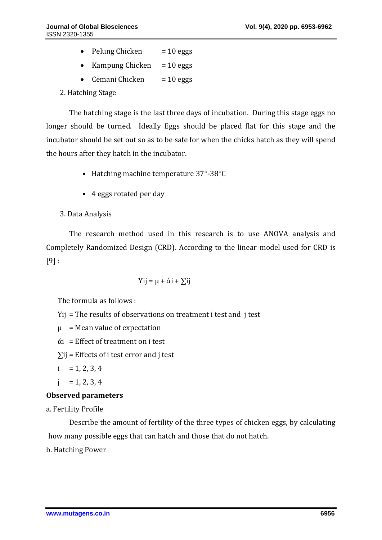- Pelung Chicken  $= 10 \text{ eggs}$
- Kampung Chicken  $= 10$  eggs
- Cemani Chicken  $= 10 \text{ eggs}$

2. Hatching Stage

The hatching stage is the last three days of incubation. During this stage eggs no longer should be turned. Ideally Eggs should be placed flat for this stage and the incubator should be set out so as to be safe for when the chicks hatch as they will spend the hours after they hatch in the incubator.

- Hatching machine temperature  $37^{\circ}$ -38 $^{\circ}$ C
- 4 eggs rotated per day
- 3. Data Analysis

The research method used in this research is to use ANOVA analysis and Completely Randomized Design (CRD). According to the linear model used for CRD is  $[9]$ :

Yij = 
$$
\mu + \alpha i + \sum ij
$$

The formula as follows :

Yij = The results of observations on treatment i test and j test

 $\mu$  = Mean value of expectation

 $\dot{\alpha}$  = Effect of treatment on i test

- $\Sigma$ ij = Effects of i test error and i test
- $i = 1, 2, 3, 4$
- $j = 1, 2, 3, 4$

### **Observed parameters**

a. Fertility Profile

Describe the amount of fertility of the three types of chicken eggs, by calculating how many possible eggs that can hatch and those that do not hatch.

b. Hatching Power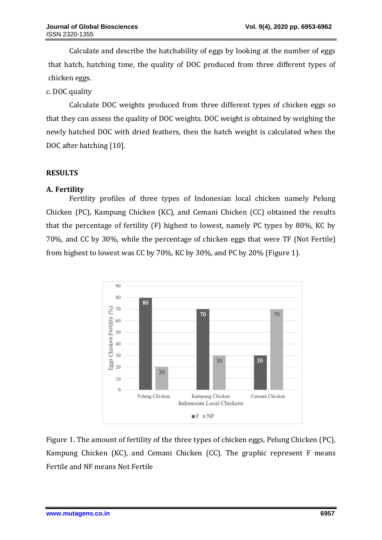Calculate and describe the hatchability of eggs by looking at the number of eggs that hatch, hatching time, the quality of DOC produced from three different types of chicken eggs.

c. DOC quality

Calculate DOC weights produced from three different types of chicken eggs so that they can assess the quality of DOC weights. DOC weight is obtained by weighing the newly hatched DOC with dried feathers, then the hatch weight is calculated when the DOC after hatching [10].

# **RESULTS**

# **A. Fertility**

Fertility profiles of three types of Indonesian local chicken namely Pelung Chicken (PC), Kampung Chicken (KC), and Cemani Chicken (CC) obtained the results that the percentage of fertility (F) highest to lowest, namely PC types by 80%, KC by 70%, and CC by 30%, while the percentage of chicken eggs that were TF (Not Fertile) from highest to lowest was CC by 70%, KC by 30%, and PC by 20% (Figure 1).



Figure 1. The amount of fertility of the three types of chicken eggs, Pelung Chicken (PC), Kampung Chicken (KC), and Cemani Chicken (CC). The graphic represent F means Fertile and NF means Not Fertile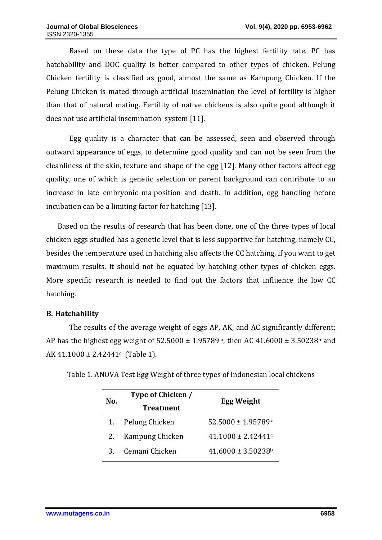Based on these data the type of PC has the highest fertility rate. PC has hatchability and DOC quality is better compared to other types of chicken. Pelung Chicken fertility is classified as good, almost the same as Kampung Chicken. If the Pelung Chicken is mated through artificial insemination the level of fertility is higher than that of natural mating. Fertility of native chickens is also quite good although it does not use artificial insemination system [11].

Egg quality is a character that can be assessed, seen and observed through outward appearance of eggs, to determine good quality and can not be seen from the cleanliness of the skin, texture and shape of the egg [12]. Many other factors affect egg quality, one of which is genetic selection or parent background can contribute to an increase in late embryonic malposition and death. In addition, egg handling before incubation can be a limiting factor for hatching [13].

Based on the results of research that has been done, one of the three types of local chicken eggs studied has a genetic level that is less supportive for hatching, namely CC, besides the temperature used in hatching also affects the CC hatching, if you want to get maximum results, it should not be equated by hatching other types of chicken eggs. More specific research is needed to find out the factors that influence the low CC hatching.

### **B. Hatchability**

The results of the average weight of eggs AP, AK, and AC significantly different; AP has the highest egg weight of  $52.5000 \pm 1.95789$ <sup>a</sup>, then AC  $41.6000 \pm 3.50238$ <sup>b</sup> and AK 41.1000 ± 2.42441<sup>c</sup> (Table 1).

| No. | Type of Chicken / | <b>Egg Weight</b>                  |
|-----|-------------------|------------------------------------|
|     | <b>Treatment</b>  |                                    |
|     | Pelung Chicken    | 52.5000 ± 1.95789 a                |
| 2.  | Kampung Chicken   | $41.1000 \pm 2.42441$ c            |
| 3   | Cemani Chicken    | $41.6000 \pm 3.50238$ <sup>b</sup> |

Table 1. ANOVA Test Egg Weight of three types of Indonesian local chickens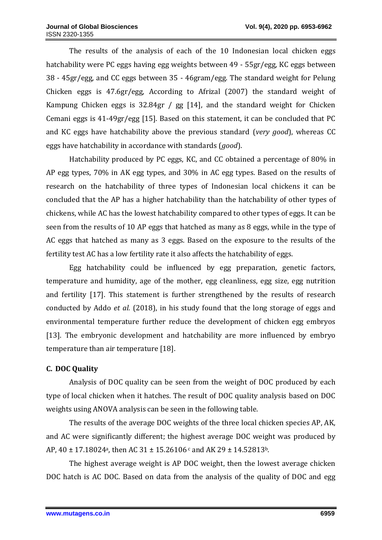The results of the analysis of each of the 10 Indonesian local chicken eggs hatchability were PC eggs having egg weights between 49 - 55gr/egg, KC eggs between 38 - 45gr/egg, and CC eggs between 35 - 46gram/egg. The standard weight for Pelung Chicken eggs is 47.6gr/egg, According to Afrizal (2007) the standard weight of Kampung Chicken eggs is 32.84gr / gg [14], and the standard weight for Chicken Cemani eggs is 41-49gr/egg [15]. Based on this statement, it can be concluded that PC and KC eggs have hatchability above the previous standard (*very good*), whereas CC eggs have hatchability in accordance with standards (*good*).

Hatchability produced by PC eggs, KC, and CC obtained a percentage of 80% in AP egg types, 70% in AK egg types, and 30% in AC egg types. Based on the results of research on the hatchability of three types of Indonesian local chickens it can be concluded that the AP has a higher hatchability than the hatchability of other types of chickens, while AC has the lowest hatchability compared to other types of eggs. It can be seen from the results of 10 AP eggs that hatched as many as 8 eggs, while in the type of AC eggs that hatched as many as 3 eggs. Based on the exposure to the results of the fertility test AC has a low fertility rate it also affects the hatchability of eggs.

Egg hatchability could be influenced by egg preparation, genetic factors, temperature and humidity, age of the mother, egg cleanliness, egg size, egg nutrition and fertility [17]. This statement is further strengthened by the results of research conducted by Addo *et al.* (2018), in his study found that the long storage of eggs and environmental temperature further reduce the development of chicken egg embryos [13]. The embryonic development and hatchability are more influenced by embryo temperature than air temperature [18].

# **C. DOC Quality**

Analysis of DOC quality can be seen from the weight of DOC produced by each type of local chicken when it hatches. The result of DOC quality analysis based on DOC weights using ANOVA analysis can be seen in the following table.

The results of the average DOC weights of the three local chicken species AP, AK, and AC were significantly different; the highest average DOC weight was produced by AP,  $40 \pm 17.18024$ <sup>a</sup>, then AC 31  $\pm 15.26106$  c and AK 29  $\pm 14.52813$ <sup>b</sup>.

The highest average weight is AP DOC weight, then the lowest average chicken DOC hatch is AC DOC. Based on data from the analysis of the quality of DOC and egg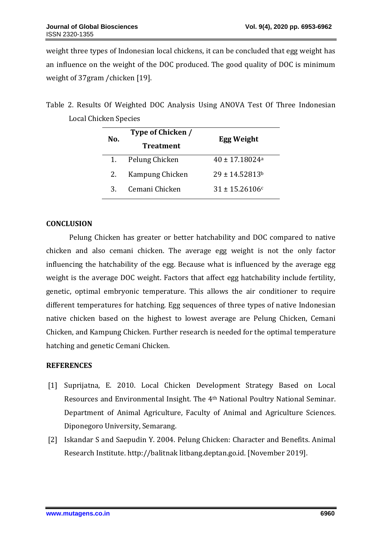weight three types of Indonesian local chickens, it can be concluded that egg weight has an influence on the weight of the DOC produced. The good quality of DOC is minimum weight of 37gram /chicken [19].

Table 2. Results Of Weighted DOC Analysis Using ANOVA Test Of Three Indonesian Local Chicken Species

| No. | Type of Chicken / | <b>Egg Weight</b>              |
|-----|-------------------|--------------------------------|
|     | <b>Treatment</b>  |                                |
| 1.  | Pelung Chicken    | $40 \pm 17.18024$ <sup>a</sup> |
| 2.  | Kampung Chicken   | $29 \pm 14.52813^b$            |
| З.  | Cemani Chicken    | $31 \pm 15.26106c$             |

### **CONCLUSION**

Pelung Chicken has greater or better hatchability and DOC compared to native chicken and also cemani chicken. The average egg weight is not the only factor influencing the hatchability of the egg. Because what is influenced by the average egg weight is the average DOC weight. Factors that affect egg hatchability include fertility, genetic, optimal embryonic temperature. This allows the air conditioner to require different temperatures for hatching. Egg sequences of three types of native Indonesian native chicken based on the highest to lowest average are Pelung Chicken, Cemani Chicken, and Kampung Chicken. Further research is needed for the optimal temperature hatching and genetic Cemani Chicken.

### **REFERENCES**

- [1] Suprijatna, E. 2010. Local Chicken Development Strategy Based on Local Resources and Environmental Insight. The 4th National Poultry National Seminar. Department of Animal Agriculture, Faculty of Animal and Agriculture Sciences. Diponegoro University, Semarang.
- [2] Iskandar S and Saepudin Y. 2004. Pelung Chicken: Character and Benefits. Animal Research Institute. http://balitnak litbang.deptan.go.id. [November 2019].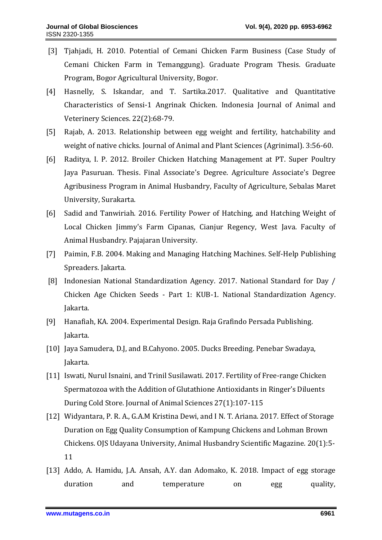- [3] Tjahjadi, H. 2010. Potential of Cemani Chicken Farm Business (Case Study of Cemani Chicken Farm in Temanggung). Graduate Program Thesis. Graduate Program, Bogor Agricultural University, Bogor.
- [4] Hasnelly, S. Iskandar, and T. Sartika.2017. Qualitative and Quantitative Characteristics of Sensi-1 Angrinak Chicken. Indonesia Journal of Animal and Veterinery Sciences. 22(2):68-79.
- [5] Rajab, A. 2013. Relationship between egg weight and fertility, hatchability and weight of native chicks. Journal of Animal and Plant Sciences (Agrinimal). 3:56-60.
- [6] Raditya, I. P. 2012. Broiler Chicken Hatching Management at PT. Super Poultry Jaya Pasuruan. Thesis. Final Associate's Degree. Agriculture Associate's Degree Agribusiness Program in Animal Husbandry, Faculty of Agriculture, Sebalas Maret University, Surakarta.
- [6] Sadid and Tanwiriah. 2016. Fertility Power of Hatching, and Hatching Weight of Local Chicken Jimmy's Farm Cipanas, Cianjur Regency, West Java. Faculty of Animal Husbandry. Pajajaran University.
- [7] Paimin, F.B. 2004. Making and Managing Hatching Machines. Self-Help Publishing Spreaders. Jakarta.
- [8] Indonesian National Standardization Agency. 2017. National Standard for Day / Chicken Age Chicken Seeds - Part 1: KUB-1. National Standardization Agency. Jakarta.
- [9] Hanafiah, KA. 2004. Experimental Design. Raja Grafindo Persada Publishing. Jakarta.
- [10] Jaya Samudera, D.J, and B.Cahyono. 2005. Ducks Breeding. Penebar Swadaya, Jakarta.
- [11] Iswati, Nurul Isnaini, and Trinil Susilawati. 2017. Fertility of Free-range Chicken Spermatozoa with the Addition of Glutathione Antioxidants in Ringer's Diluents During Cold Store. Journal of Animal Sciences 27(1):107-115
- [12] Widyantara, P. R. A., G.A.M Kristina Dewi, and I N. T. Ariana. 2017*.* Effect of Storage Duration on Egg Quality Consumption of Kampung Chickens and Lohman Brown Chickens. OJS Udayana University, Animal Husbandry Scientific Magazine. 20(1):5- 11
- [13] Addo, A. Hamidu, J.A. Ansah, A.Y. dan Adomako, K. 2018. Impact of egg storage duration and temperature on egg quality,